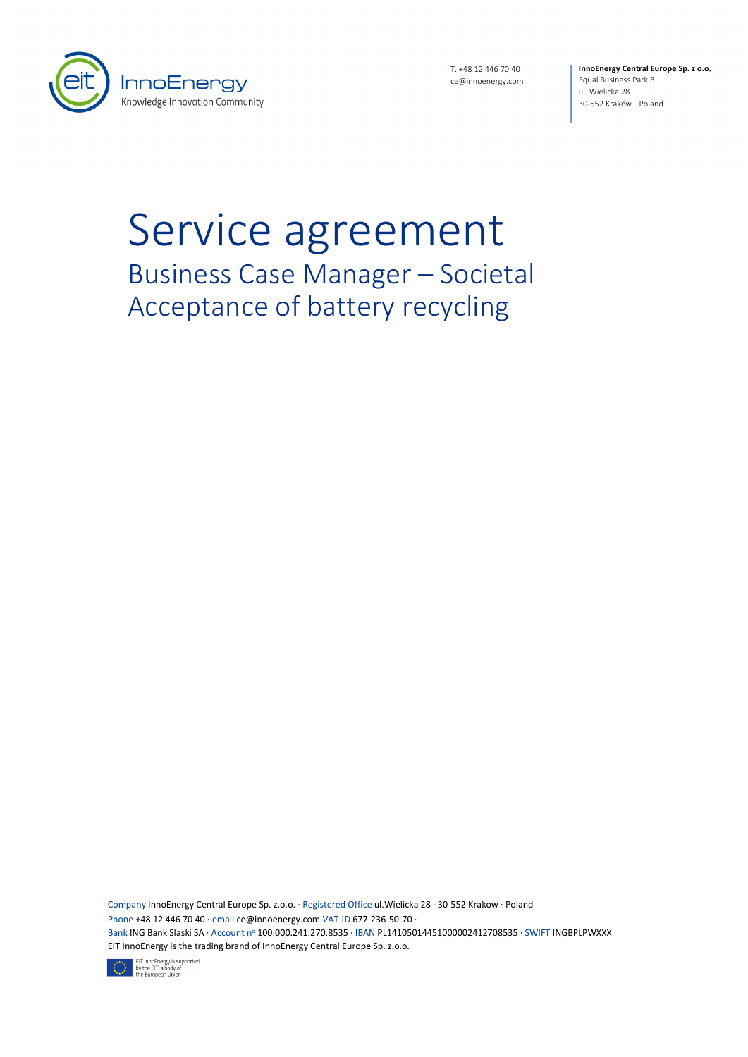

T. +48 12 446 70 40 ce@innoenergy.com **InnoEnergy Central Europe Sp. z o.o**. Equal Business Park B ul. Wielicka 28 30-552 Kraków · Poland

# Service agreement Business Case Manager – Societal Acceptance of battery recycling

Company InnoEnergy Central Europe Sp. z.o.o. · Registered Office ul.Wielicka 28 · 30-552 Krakow · Poland Phone +48 12 446 70 40 · email ce@innoenergy.com VAT-ID 677-236-50-70 · Bank ING Bank Slaski SA · Account nº 100.000.241.270.8535 · IBAN PL14105014451000002412708535 · SWIFT INGBPLPWXXX EIT InnoEnergy is the trading brand of InnoEnergy Central Europe Sp. z.o.o.

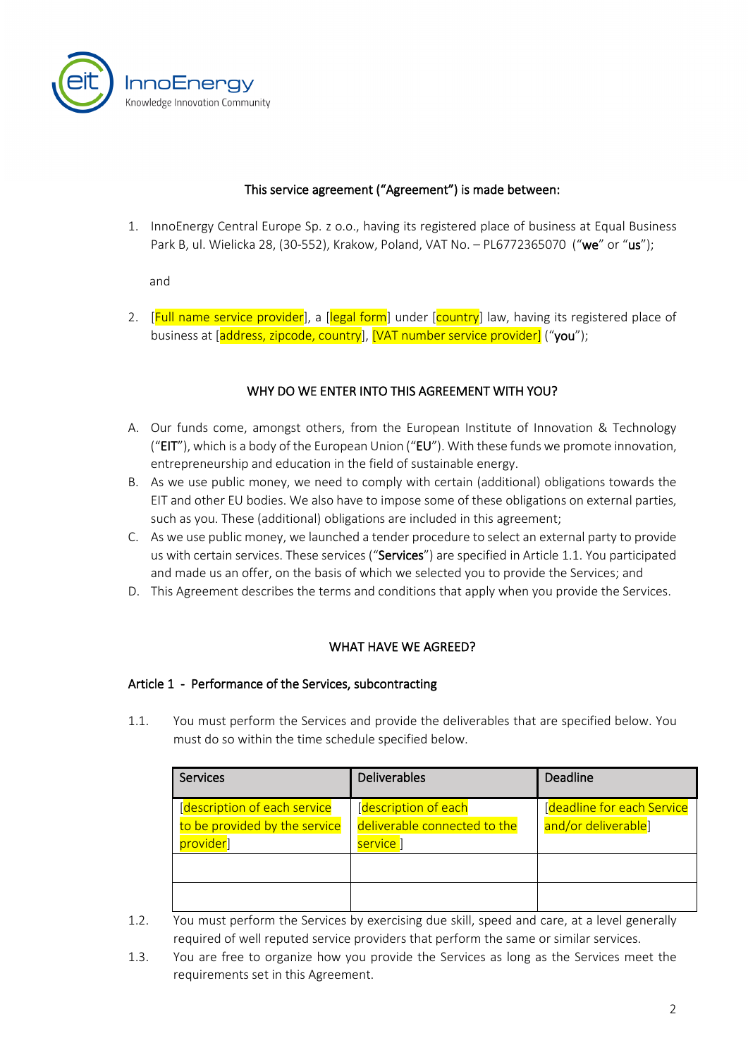

#### This service agreement ("Agreement") is made between:

1. InnoEnergy Central Europe Sp. z o.o., having its registered place of business at Equal Business Park B, ul. Wielicka 28, (30-552), Krakow, Poland, VAT No. - PL6772365070 ("we" or "us");

and

2. [Full name service provider], a [legal form] under [country] law, having its registered place of business at [address, zipcode, country], [VAT number service provider] ("you");

# WHY DO WE ENTER INTO THIS AGREEMENT WITH YOU?

- A. Our funds come, amongst others, from the European Institute of Innovation & Technology ("EIT"), which is a body of the European Union ("EU"). With these funds we promote innovation, entrepreneurship and education in the field of sustainable energy.
- B. As we use public money, we need to comply with certain (additional) obligations towards the EIT and other EU bodies. We also have to impose some of these obligations on external parties, such as you. These (additional) obligations are included in this agreement;
- C. As we use public money, we launched a tender procedure to select an external party to provide us with certain services. These services ("Services") are specified in Article [1.1.](#page-1-0) You participated and made us an offer, on the basis of which we selected you to provide the Services; and
- D. This Agreement describes the terms and conditions that apply when you provide the Services.

# WHAT HAVE WE AGREED?

#### Article 1 - Performance of the Services, subcontracting

<span id="page-1-0"></span>1.1. You must perform the Services and provide the deliverables that are specified below. You must do so within the time schedule specified below.

| <b>Services</b>                                                            | <b>Deliverables</b>                                            | Deadline                                          |
|----------------------------------------------------------------------------|----------------------------------------------------------------|---------------------------------------------------|
| [description of each service<br>to be provided by the service<br>provider] | description of each<br>deliverable connected to the<br>service | [deadline for each Service<br>and/or deliverable] |
|                                                                            |                                                                |                                                   |

1.2. You must perform the Services by exercising due skill, speed and care, at a level generally required of well reputed service providers that perform the same or similar services.

1.3. You are free to organize how you provide the Services as long as the Services meet the requirements set in this Agreement.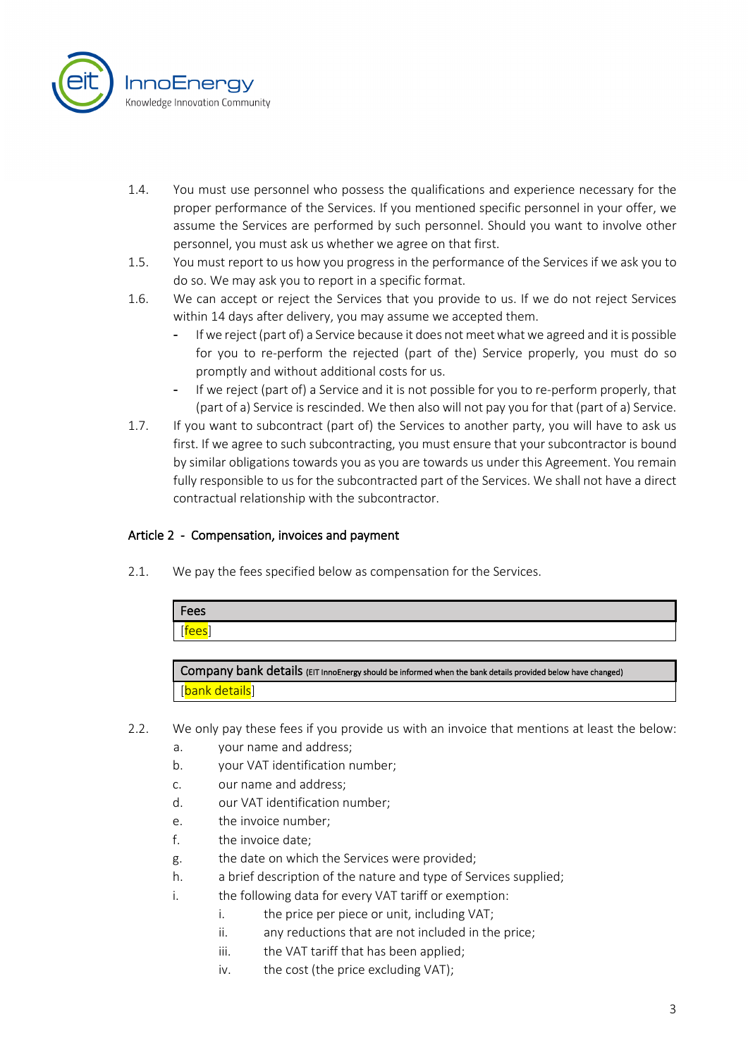

- 1.4. You must use personnel who possess the qualifications and experience necessary for the proper performance of the Services. If you mentioned specific personnel in your offer, we assume the Services are performed by such personnel. Should you want to involve other personnel, you must ask us whether we agree on that first.
- 1.5. You must report to us how you progress in the performance of the Services if we ask you to do so. We may ask you to report in a specific format.
- 1.6. We can accept or reject the Services that you provide to us. If we do not reject Services within 14 days after delivery, you may assume we accepted them.
	- If we reject (part of) a Service because it does not meet what we agreed and it is possible for you to re-perform the rejected (part of the) Service properly, you must do so promptly and without additional costs for us.
	- If we reject (part of) a Service and it is not possible for you to re-perform properly, that (part of a) Service is rescinded. We then also will not pay you for that (part of a) Service.
- 1.7. If you want to subcontract (part of) the Services to another party, you will have to ask us first. If we agree to such subcontracting, you must ensure that your subcontractor is bound by similar obligations towards you as you are towards us under this Agreement. You remain fully responsible to us for the subcontracted part of the Services. We shall not have a direct contractual relationship with the subcontractor.

# Article 2 - Compensation, invoices and payment

2.1. We pay the fees specified below as compensation for the Services.

| Fees                           |  |
|--------------------------------|--|
| $\sim$<br>∼<br><u>. Contra</u> |  |
|                                |  |

Company bank details (EIT InnoEnergy should be informed when the bank details provided below have changed) [bank details]

- 2.2. We only pay these fees if you provide us with an invoice that mentions at least the below:
	- a. your name and address;
	- b. your VAT identification number;
	- c. our name and address;
	- d. our VAT identification number;
	- e. the invoice number;
	- f. the invoice date;
	- g. the date on which the Services were provided;
	- h. a brief description of the nature and type of Services supplied;
	- i. the following data for every VAT tariff or exemption:
		- i. the price per piece or unit, including VAT;
		- ii. any reductions that are not included in the price;
		- iii. the VAT tariff that has been applied;
		- iv. the cost (the price excluding VAT);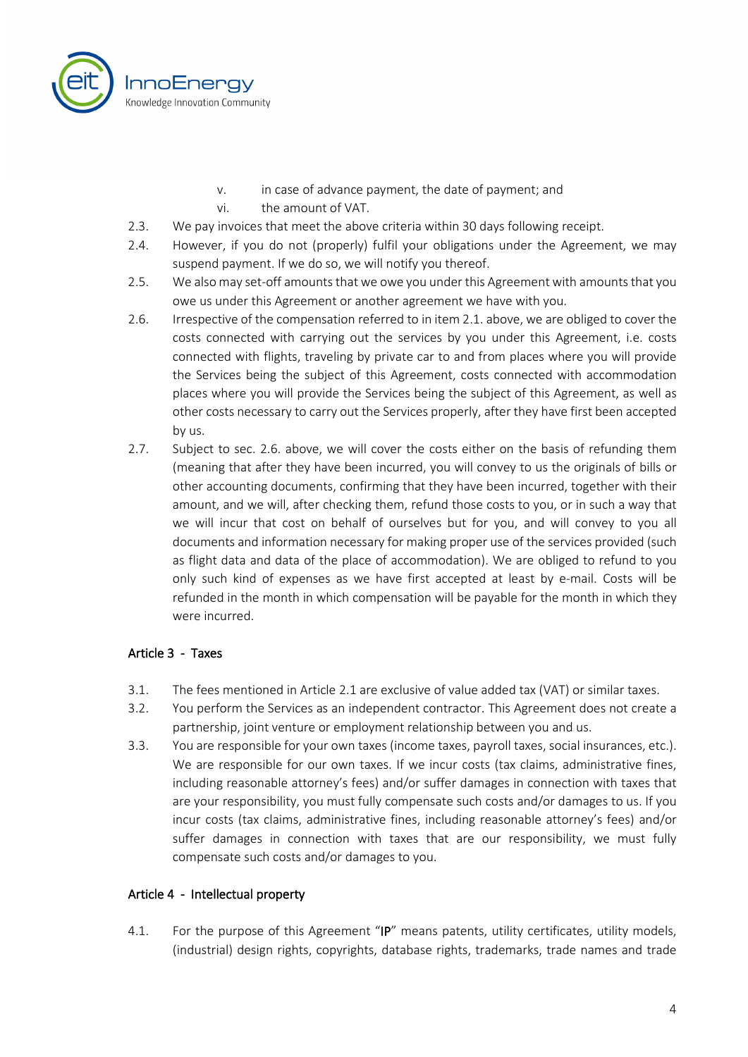

- v. in case of advance payment, the date of payment; and
- vi. the amount of VAT.
- 2.3. We pay invoices that meet the above criteria within 30 days following receipt.
- 2.4. However, if you do not (properly) fulfil your obligations under the Agreement, we may suspend payment. If we do so, we will notify you thereof.
- 2.5. We also may set-off amounts that we owe you under this Agreement with amounts that you owe us under this Agreement or another agreement we have with you.
- 2.6. Irrespective of the compensation referred to in item 2.1. above, we are obliged to cover the costs connected with carrying out the services by you under this Agreement, i.e. costs connected with flights, traveling by private car to and from places where you will provide the Services being the subject of this Agreement, costs connected with accommodation places where you will provide the Services being the subject of this Agreement, as well as other costs necessary to carry out the Services properly, after they have first been accepted by us.
- 2.7. Subject to sec. 2.6. above, we will cover the costs either on the basis of refunding them (meaning that after they have been incurred, you will convey to us the originals of bills or other accounting documents, confirming that they have been incurred, together with their amount, and we will, after checking them, refund those costs to you, or in such a way that we will incur that cost on behalf of ourselves but for you, and will convey to you all documents and information necessary for making proper use of the services provided (such as flight data and data of the place of accommodation). We are obliged to refund to you only such kind of expenses as we have first accepted at least by e-mail. Costs will be refunded in the month in which compensation will be payable for the month in which they were incurred.

#### Article 3 - Taxes

- 3.1. The fees mentioned in Article 2.1 are exclusive of value added tax (VAT) or similar taxes.
- 3.2. You perform the Services as an independent contractor. This Agreement does not create a partnership, joint venture or employment relationship between you and us.
- 3.3. You are responsible for your own taxes (income taxes, payroll taxes, social insurances, etc.). We are responsible for our own taxes. If we incur costs (tax claims, administrative fines, including reasonable attorney's fees) and/or suffer damages in connection with taxes that are your responsibility, you must fully compensate such costs and/or damages to us. If you incur costs (tax claims, administrative fines, including reasonable attorney's fees) and/or suffer damages in connection with taxes that are our responsibility, we must fully compensate such costs and/or damages to you.

#### Article 4 - Intellectual property

4.1. For the purpose of this Agreement "IP" means patents, utility certificates, utility models, (industrial) design rights, copyrights, database rights, trademarks, trade names and trade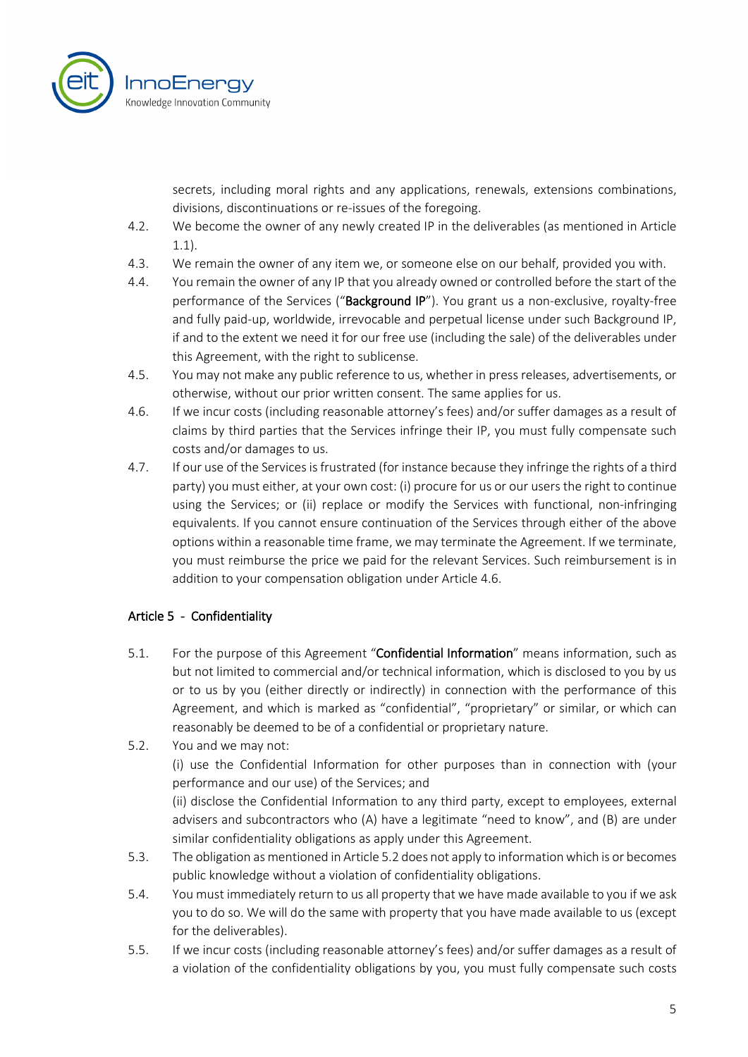

secrets, including moral rights and any applications, renewals, extensions combinations, divisions, discontinuations or re-issues of the foregoing.

- 4.2. We become the owner of any newly created IP in the deliverables (as mentioned in Article 1.1).
- 4.3. We remain the owner of any item we, or someone else on our behalf, provided you with.
- 4.4. You remain the owner of any IP that you already owned or controlled before the start of the performance of the Services ("Background IP"). You grant us a non-exclusive, royalty-free and fully paid-up, worldwide, irrevocable and perpetual license under such Background IP, if and to the extent we need it for our free use (including the sale) of the deliverables under this Agreement, with the right to sublicense.
- 4.5. You may not make any public reference to us, whether in press releases, advertisements, or otherwise, without our prior written consent. The same applies for us.
- 4.6. If we incur costs (including reasonable attorney's fees) and/or suffer damages as a result of claims by third parties that the Services infringe their IP, you must fully compensate such costs and/or damages to us.
- 4.7. If our use of the Services isfrustrated (for instance because they infringe the rights of a third party) you must either, at your own cost: (i) procure for us or our users the right to continue using the Services; or (ii) replace or modify the Services with functional, non-infringing equivalents. If you cannot ensure continuation of the Services through either of the above options within a reasonable time frame, we may terminate the Agreement. If we terminate, you must reimburse the price we paid for the relevant Services. Such reimbursement is in addition to your compensation obligation under Article 4.6.

# Article 5 - Confidentiality

- 5.1. For the purpose of this Agreement "Confidential Information" means information, such as but not limited to commercial and/or technical information, which is disclosed to you by us or to us by you (either directly or indirectly) in connection with the performance of this Agreement, and which is marked as "confidential", "proprietary" or similar, or which can reasonably be deemed to be of a confidential or proprietary nature.
- 5.2. You and we may not: (i) use the Confidential Information for other purposes than in connection with (your performance and our use) of the Services; and (ii) disclose the Confidential Information to any third party, except to employees, external advisers and subcontractors who (A) have a legitimate "need to know", and (B) are under

similar confidentiality obligations as apply under this Agreement. 5.3. The obligation as mentioned in Article 5.2 does not apply to information which is or becomes public knowledge without a violation of confidentiality obligations.

- 5.4. You must immediately return to us all property that we have made available to you if we ask you to do so. We will do the same with property that you have made available to us (except for the deliverables).
- 5.5. If we incur costs (including reasonable attorney's fees) and/or suffer damages as a result of a violation of the confidentiality obligations by you, you must fully compensate such costs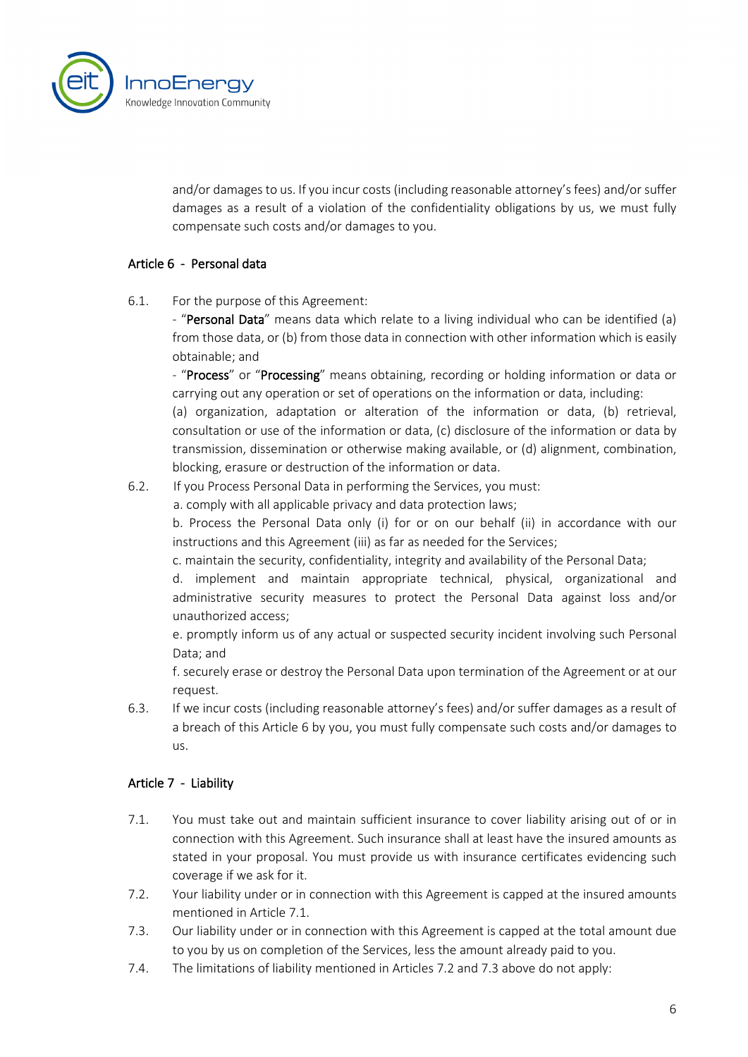

and/or damages to us. If you incur costs (including reasonable attorney's fees) and/or suffer damages as a result of a violation of the confidentiality obligations by us, we must fully compensate such costs and/or damages to you.

#### Article 6 - Personal data

6.1. For the purpose of this Agreement:

- "Personal Data" means data which relate to a living individual who can be identified (a) from those data, or (b) from those data in connection with other information which is easily obtainable; and

- "Process" or "Processing" means obtaining, recording or holding information or data or carrying out any operation or set of operations on the information or data, including:

(a) organization, adaptation or alteration of the information or data, (b) retrieval, consultation or use of the information or data, (c) disclosure of the information or data by transmission, dissemination or otherwise making available, or (d) alignment, combination, blocking, erasure or destruction of the information or data.

6.2. If you Process Personal Data in performing the Services, you must:

a. comply with all applicable privacy and data protection laws;

b. Process the Personal Data only (i) for or on our behalf (ii) in accordance with our instructions and this Agreement (iii) as far as needed for the Services;

c. maintain the security, confidentiality, integrity and availability of the Personal Data;

d. implement and maintain appropriate technical, physical, organizational and administrative security measures to protect the Personal Data against loss and/or unauthorized access;

e. promptly inform us of any actual or suspected security incident involving such Personal Data; and

f. securely erase or destroy the Personal Data upon termination of the Agreement or at our request.

6.3. If we incur costs (including reasonable attorney's fees) and/or suffer damages as a result of a breach of this Article 6 by you, you must fully compensate such costs and/or damages to us.

# Article 7 - Liability

- 7.1. You must take out and maintain sufficient insurance to cover liability arising out of or in connection with this Agreement. Such insurance shall at least have the insured amounts as stated in your proposal. You must provide us with insurance certificates evidencing such coverage if we ask for it.
- 7.2. Your liability under or in connection with this Agreement is capped at the insured amounts mentioned in Article 7.1.
- 7.3. Our liability under or in connection with this Agreement is capped at the total amount due to you by us on completion of the Services, less the amount already paid to you.
- 7.4. The limitations of liability mentioned in Articles 7.2 and 7.3 above do not apply: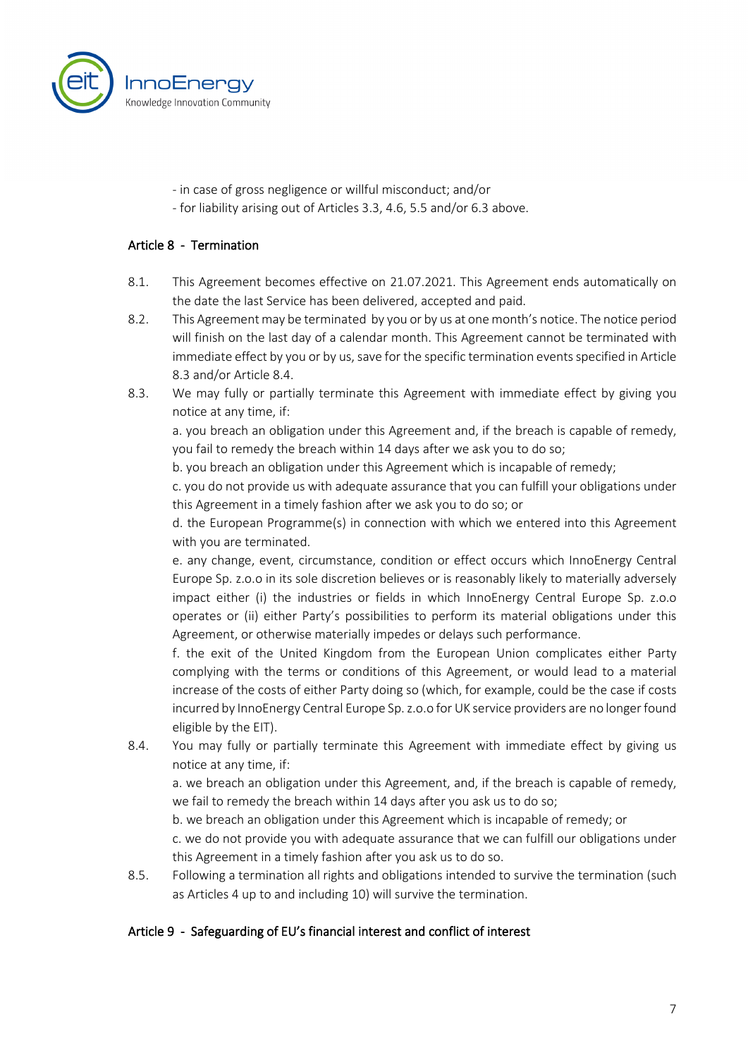

- in case of gross negligence or willful misconduct; and/or
- for liability arising out of Articles 3.3, 4.6, 5.5 and/or 6.3 above.

#### Article 8 - Termination

- 8.1. This Agreement becomes effective on 21.07.2021. This Agreement ends automatically on the date the last Service has been delivered, accepted and paid.
- 8.2. This Agreement may be terminated by you or by us at one month's notice. The notice period will finish on the last day of a calendar month. This Agreement cannot be terminated with immediate effect by you or by us, save for the specific termination events specified in Article 8.3 and/or Article 8.4.
- 8.3. We may fully or partially terminate this Agreement with immediate effect by giving you notice at any time, if:

a. you breach an obligation under this Agreement and, if the breach is capable of remedy, you fail to remedy the breach within 14 days after we ask you to do so;

b. you breach an obligation under this Agreement which is incapable of remedy;

c. you do not provide us with adequate assurance that you can fulfill your obligations under this Agreement in a timely fashion after we ask you to do so; or

d. the European Programme(s) in connection with which we entered into this Agreement with you are terminated.

e. any change, event, circumstance, condition or effect occurs which InnoEnergy Central Europe Sp. z.o.o in its sole discretion believes or is reasonably likely to materially adversely impact either (i) the industries or fields in which InnoEnergy Central Europe Sp. z.o.o operates or (ii) either Party's possibilities to perform its material obligations under this Agreement, or otherwise materially impedes or delays such performance.

f. the exit of the United Kingdom from the European Union complicates either Party complying with the terms or conditions of this Agreement, or would lead to a material increase of the costs of either Party doing so (which, for example, could be the case if costs incurred by InnoEnergy Central Europe Sp. z.o.o for UK service providers are no longer found eligible by the EIT).

8.4. You may fully or partially terminate this Agreement with immediate effect by giving us notice at any time, if:

a. we breach an obligation under this Agreement, and, if the breach is capable of remedy, we fail to remedy the breach within 14 days after you ask us to do so;

b. we breach an obligation under this Agreement which is incapable of remedy; or

c. we do not provide you with adequate assurance that we can fulfill our obligations under this Agreement in a timely fashion after you ask us to do so.

8.5. Following a termination all rights and obligations intended to survive the termination (such as Articles 4 up to and including 10) will survive the termination.

#### Article 9 - Safeguarding of EU's financial interest and conflict of interest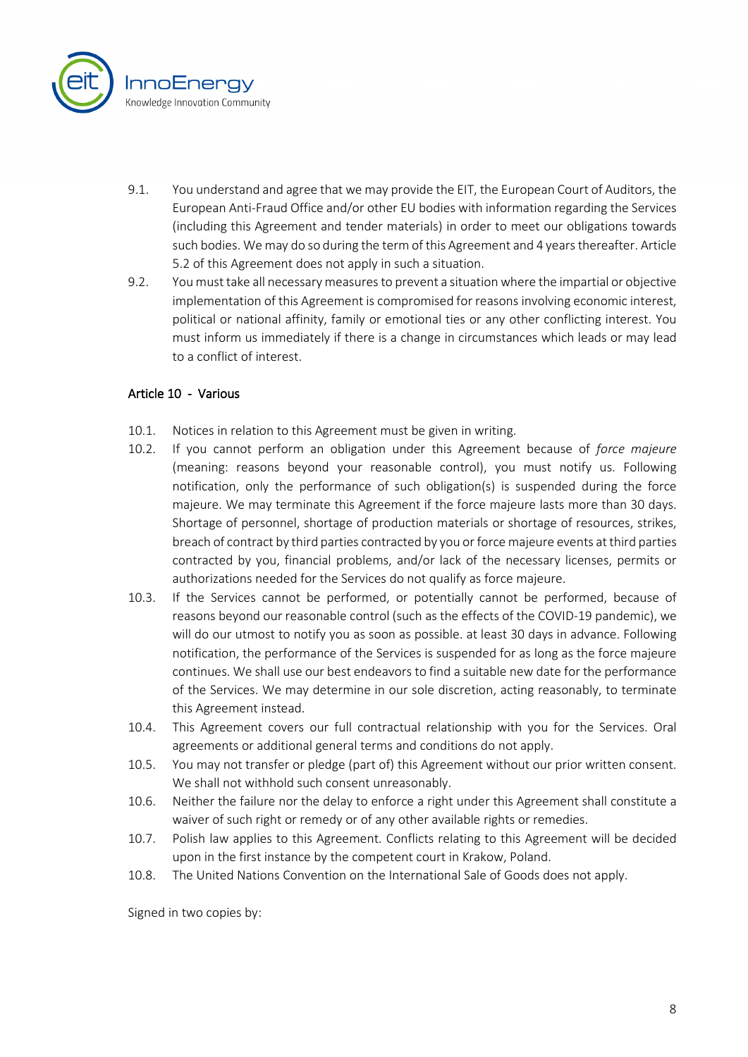

- 9.1. You understand and agree that we may provide the EIT, the European Court of Auditors, the European Anti-Fraud Office and/or other EU bodies with information regarding the Services (including this Agreement and tender materials) in order to meet our obligations towards such bodies. We may do so during the term of this Agreement and 4 years thereafter. Article 5.2 of this Agreement does not apply in such a situation.
- 9.2. You must take all necessary measures to prevent a situation where the impartial or objective implementation of this Agreement is compromised for reasons involving economic interest, political or national affinity, family or emotional ties or any other conflicting interest. You must inform us immediately if there is a change in circumstances which leads or may lead to a conflict of interest.

#### Article 10 - Various

- 10.1. Notices in relation to this Agreement must be given in writing.
- 10.2. If you cannot perform an obligation under this Agreement because of *force majeure* (meaning: reasons beyond your reasonable control), you must notify us. Following notification, only the performance of such obligation(s) is suspended during the force majeure. We may terminate this Agreement if the force majeure lasts more than 30 days. Shortage of personnel, shortage of production materials or shortage of resources, strikes, breach of contract by third parties contracted by you or force majeure events at third parties contracted by you, financial problems, and/or lack of the necessary licenses, permits or authorizations needed for the Services do not qualify as force majeure.
- 10.3. If the Services cannot be performed, or potentially cannot be performed, because of reasons beyond our reasonable control (such as the effects of the COVID-19 pandemic), we will do our utmost to notify you as soon as possible. at least 30 days in advance. Following notification, the performance of the Services is suspended for as long as the force majeure continues. We shall use our best endeavors to find a suitable new date for the performance of the Services. We may determine in our sole discretion, acting reasonably, to terminate this Agreement instead.
- 10.4. This Agreement covers our full contractual relationship with you for the Services. Oral agreements or additional general terms and conditions do not apply.
- 10.5. You may not transfer or pledge (part of) this Agreement without our prior written consent. We shall not withhold such consent unreasonably.
- 10.6. Neither the failure nor the delay to enforce a right under this Agreement shall constitute a waiver of such right or remedy or of any other available rights or remedies.
- 10.7. Polish law applies to this Agreement. Conflicts relating to this Agreement will be decided upon in the first instance by the competent court in Krakow, Poland.
- 10.8. The United Nations Convention on the International Sale of Goods does not apply.

Signed in two copies by: